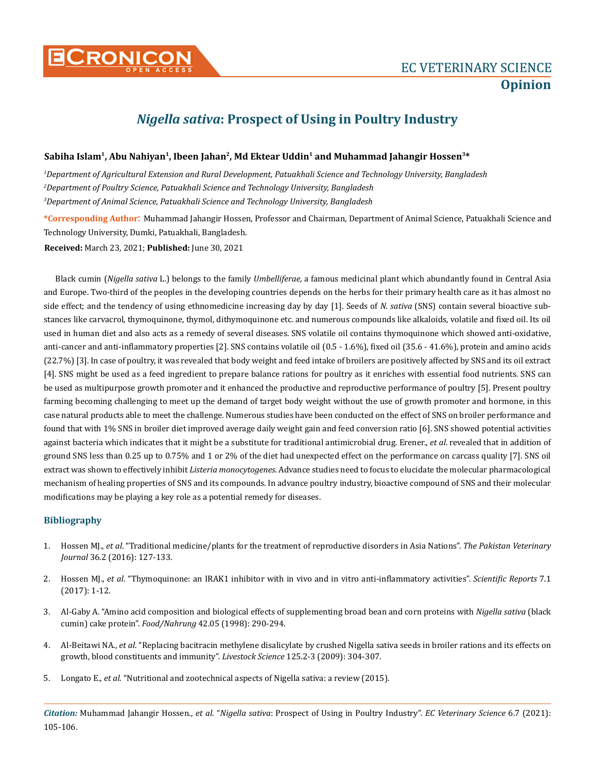

## *Nigella sativa***: Prospect of Using in Poultry Industry**

## Sabiha Islam<sup>1</sup>, Abu Nahiyan<sup>1</sup>, Ibeen Jahan<sup>2</sup>, Md Ektear Uddin<sup>1</sup> and Muhammad Jahangir Hossen<sup>3\*</sup>

*1 Department of Agricultural Extension and Rural Development, Patuakhali Science and Technology University, Bangladesh 2 Department of Poultry Science, Patuakhali Science and Technology University, Bangladesh 3 Department of Animal Science, Patuakhali Science and Technology University, Bangladesh*

**\*Corresponding Author**: Muhammad Jahangir Hossen, Professor and Chairman, Department of Animal Science, Patuakhali Science and Technology University, Dumki, Patuakhali, Bangladesh.

**Received:** March 23, 2021; **Published:** June 30, 2021

Black cumin (*Nigella sativa* L.) belongs to the family *Umbelliferae*, a famous medicinal plant which abundantly found in Central Asia and Europe. Two-third of the peoples in the developing countries depends on the herbs for their primary health care as it has almost no side effect; and the tendency of using ethnomedicine increasing day by day [1]. Seeds of *N. sativa* (SNS) contain several bioactive substances like carvacrol, thymoquinone, thymol, dithymoquinone etc. and numerous compounds like alkaloids, volatile and fixed oil. Its oil used in human diet and also acts as a remedy of several diseases. SNS volatile oil contains thymoquinone which showed anti-oxidative, anti-cancer and anti-inflammatory properties [2]. SNS contains volatile oil (0.5 - 1.6%), fixed oil (35.6 - 41.6%), protein and amino acids (22.7%) [3]. In case of poultry, it was revealed that body weight and feed intake of broilers are positively affected by SNS and its oil extract [4]. SNS might be used as a feed ingredient to prepare balance rations for poultry as it enriches with essential food nutrients. SNS can be used as multipurpose growth promoter and it enhanced the productive and reproductive performance of poultry [5]. Present poultry farming becoming challenging to meet up the demand of target body weight without the use of growth promoter and hormone, in this case natural products able to meet the challenge. Numerous studies have been conducted on the effect of SNS on broiler performance and found that with 1% SNS in broiler diet improved average daily weight gain and feed conversion ratio [6]. SNS showed potential activities against bacteria which indicates that it might be a substitute for traditional antimicrobial drug. Erener., *et al*. revealed that in addition of ground SNS less than 0.25 up to 0.75% and 1 or 2% of the diet had unexpected effect on the performance on carcass quality [7]. SNS oil extract was shown to effectively inhibit *Listeria monocytogenes*. Advance studies need to focus to elucidate the molecular pharmacological mechanism of healing properties of SNS and its compounds. In advance poultry industry, bioactive compound of SNS and their molecular modifications may be playing a key role as a potential remedy for diseases.

## **Bibliography**

- 1. Hossen MJ., *et al*[. "Traditional medicine/plants for the treatment of reproductive disorders in Asia Nations".](https://www.researchgate.net/publication/302570232_Traditional_MedicinePlants_for_the_Treatment_of_Reproductive_Disorders_in_Asia_Nations) *The Pakistan Veterinary Journal* [36.2 \(2016\): 127-133.](https://www.researchgate.net/publication/302570232_Traditional_MedicinePlants_for_the_Treatment_of_Reproductive_Disorders_in_Asia_Nations)
- 2. Hossen MJ., *et al*[. "Thymoquinone: an IRAK1 inhibitor with in vivo and in vitro anti-inflammatory activities".](https://pubmed.ncbi.nlm.nih.gov/28216638/) *Scientific Reports* 7.1 [\(2017\): 1-12.](https://pubmed.ncbi.nlm.nih.gov/28216638/)
- 3. [Al-Gaby A. "Amino acid composition and biological effects of supplementing broad bean and corn proteins with](https://agris.fao.org/agris-search/search.do?recordID=DE1999O10490) *Nigella sativa* (black cumin) cake protein". *Food/Nahrung* [42.05 \(1998\): 290-294.](https://agris.fao.org/agris-search/search.do?recordID=DE1999O10490)
- 4. Al-Beitawi NA., *et al*[. "Replacing bacitracin methylene disalicylate by crushed Nigella sativa seeds in broiler rations and its effects on](https://www.sciencedirect.com/science/article/abs/pii/S1871141309001279) [growth, blood constituents and immunity".](https://www.sciencedirect.com/science/article/abs/pii/S1871141309001279) *Livestock Science* 125.2-3 (2009): 304-307.
- 5. Longato E., *et al*[. "Nutritional and zootechnical aspects of Nigella sativa: a review \(2015\).](https://www.researchgate.net/publication/282847951_Nutritional_and_zootechnical_aspects_of_Nigella_sativa_A_review)

*Citation:* Muhammad Jahangir Hossen., *et al.* "*Nigella sativa*: Prospect of Using in Poultry Industry". *EC Veterinary Science* 6.7 (2021): 105-106.